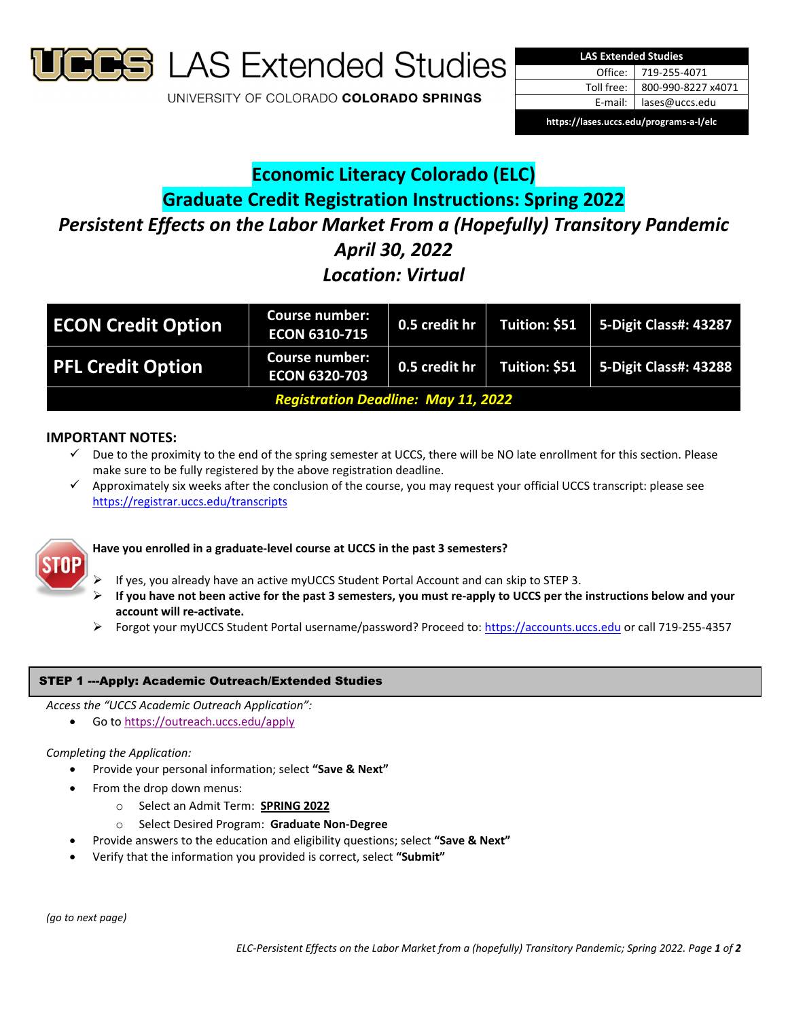

**S** LAS Extended Studies

UNIVERSITY OF COLORADO COLORADO SPRINGS



# **Economic Literacy Colorado (ELC) Graduate Credit Registration Instructions: Spring 2022** *Persistent Effects on the Labor Market From a (Hopefully) Transitory Pandemic April 30, 2022 Location: Virtual*

| <b>ECON Credit Option</b>                  | <b>Course number:</b><br><b>ECON 6310-715</b> | 0.5 credit hr | Tuition: \$51 | <b>5-Digit Class#: 43287</b>  |
|--------------------------------------------|-----------------------------------------------|---------------|---------------|-------------------------------|
| <b>PFL Credit Option</b>                   | <b>Course number:</b><br><b>ECON 6320-703</b> | 0.5 credit hr | Tuition: \$51 | $\vert$ 5-Digit Class#: 43288 |
| <b>Registration Deadline: May 11, 2022</b> |                                               |               |               |                               |

# **IMPORTANT NOTES:**

- $\checkmark$  Due to the proximity to the end of the spring semester at UCCS, there will be NO late enrollment for this section. Please make sure to be fully registered by the above registration deadline.
- Approximately six weeks after the conclusion of the course, you may request your official UCCS transcript: please see https://registrar.uccs.edu/transcripts



# **Have you enrolled in a graduate‐level course at UCCS in the past 3 semesters?**

- If yes, you already have an active myUCCS Student Portal Account and can skip to STEP 3.
- If you have not been active for the past 3 semesters, you must re-apply to UCCS per the instructions below and your **account will re‐activate.**
- Forgot your myUCCS Student Portal username/password? Proceed to: https://accounts.uccs.edu or call 719‐255‐4357

## STEP 1 ---Apply: Academic Outreach/Extended Studies

*Access the "UCCS Academic Outreach Application":*

Go to https://outreach.uccs.edu/apply

#### *Completing the Application:*

- Provide your personal information; select **"Save & Next"**
- From the drop down menus:
	- o Select an Admit Term: **SPRING 2022**
	- o Select Desired Program: **Graduate Non‐Degree**
	- Provide answers to the education and eligibility questions; select **"Save & Next"**
- Verify that the information you provided is correct, select **"Submit"**

*(go to next page)*